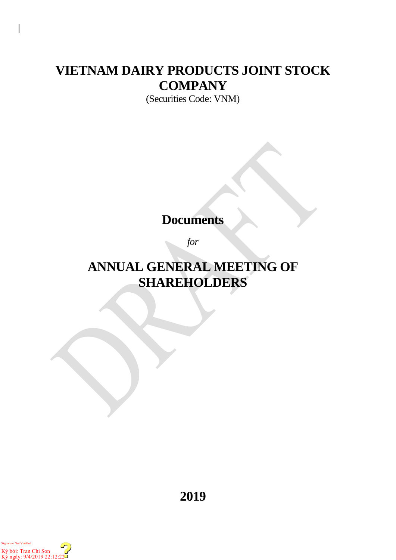# **VIETNAM DAIRY PRODUCTS JOINT STOCK COMPANY**

(Securities Code: VNM)

## **Documents**

*for*

# **ANNUAL GENERAL MEETING OF SHAREHOLDERS**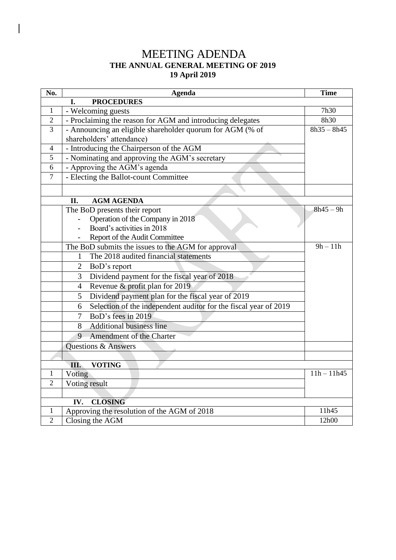## MEETING ADENDA **THE ANNUAL GENERAL MEETING OF 2019 19 April 2019**

 $\overline{\phantom{a}}$ 

| No.            | <b>Agenda</b>                                                         | <b>Time</b>   |  |  |
|----------------|-----------------------------------------------------------------------|---------------|--|--|
|                | <b>PROCEDURES</b><br>I.                                               |               |  |  |
| $\mathbf{1}$   | - Welcoming guests                                                    | 7h30          |  |  |
| $\overline{2}$ | - Proclaiming the reason for AGM and introducing delegates            | 8h30          |  |  |
| $\overline{3}$ | - Announcing an eligible shareholder quorum for AGM (% of             | $8h35 - 8h45$ |  |  |
|                | shareholders' attendance)                                             |               |  |  |
| $\overline{4}$ | - Introducing the Chairperson of the AGM                              |               |  |  |
| 5              | - Nominating and approving the AGM's secretary                        |               |  |  |
| 6              | - Approving the AGM's agenda                                          |               |  |  |
| $\overline{7}$ | - Electing the Ballot-count Committee                                 |               |  |  |
|                |                                                                       |               |  |  |
|                | II.<br><b>AGM AGENDA</b>                                              |               |  |  |
|                | The BoD presents their report                                         | $8h45 - 9h$   |  |  |
|                | Operation of the Company in 2018                                      |               |  |  |
|                | Board's activities in 2018                                            |               |  |  |
|                | Report of the Audit Committee                                         |               |  |  |
|                | The BoD submits the issues to the AGM for approval                    | $9h - 11h$    |  |  |
|                | The 2018 audited financial statements<br>1                            |               |  |  |
|                | BoD's report<br>$\overline{2}$                                        |               |  |  |
|                | Dividend payment for the fiscal year of 2018<br>3                     |               |  |  |
|                | Revenue & profit plan for 2019<br>$\overline{4}$                      |               |  |  |
|                | Dividend payment plan for the fiscal year of 2019<br>5                |               |  |  |
|                | Selection of the independent auditor for the fiscal year of 2019<br>6 |               |  |  |
|                | BoD's fees in 2019<br>$\overline{7}$                                  |               |  |  |
|                | <b>Additional business line</b><br>8                                  |               |  |  |
|                | 9<br>Amendment of the Charter                                         |               |  |  |
|                | <b>Questions &amp; Answers</b>                                        |               |  |  |
|                |                                                                       |               |  |  |
|                | <b>VOTING</b><br>Ш.                                                   |               |  |  |
| 1              | Voting                                                                | $11h - 11h45$ |  |  |
| $\overline{2}$ | Voting result                                                         |               |  |  |
|                |                                                                       |               |  |  |
| 1              | <b>CLOSING</b><br>IV.<br>Approving the resolution of the AGM of 2018  | 11h45         |  |  |
| $\overline{2}$ | Closing the AGM                                                       | 12h00         |  |  |
|                |                                                                       |               |  |  |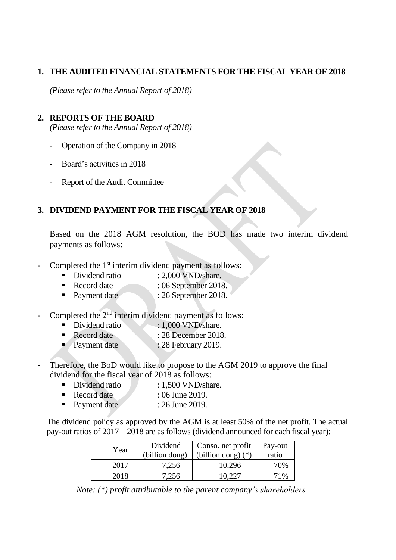#### **1. THE AUDITED FINANCIAL STATEMENTS FOR THE FISCAL YEAR OF 2018**

*(Please refer to the Annual Report of 2018)*

### **2. REPORTS OF THE BOARD**

*(Please refer to the Annual Report of 2018)*

- Operation of the Company in 2018
- Board's activities in 2018
- Report of the Audit Committee

### **3. DIVIDEND PAYMENT FOR THE FISCAL YEAR OF 2018**

Based on the 2018 AGM resolution, the BOD has made two interim dividend payments as follows:

- Completed the 1<sup>st</sup> interim dividend payment as follows:
	- Dividend ratio : 2,000 VND/share.
	- Record date : 06 September 2018.
	- Payment date : 26 September 2018.
- Completed the  $2<sup>nd</sup>$  interim dividend payment as follows:
	- Dividend ratio : 1,000 VND/share.
	- Record date : 28 December 2018.
	- Payment date : 28 February 2019.
- Therefore, the BoD would like to propose to the AGM 2019 to approve the final dividend for the fiscal year of 2018 as follows:
	- Dividend ratio : 1.500 VND/share.
	- Record date : 06 June 2019.
	- Payment date : 26 June 2019.

The dividend policy as approved by the AGM is at least 50% of the net profit. The actual pay-out ratios of 2017 – 2018 are as follows (dividend announced for each fiscal year):

| Year | Dividend<br>(billion dong) | Conso. net profit<br>(billion dong) $(*)$ | Pay-out<br>ratio |
|------|----------------------------|-------------------------------------------|------------------|
| 2017 | 7,256                      | 10,296                                    | 70%              |
| 2018 | 7,256                      | 10.227                                    | 71%              |

*Note: (\*) profit attributable to the parent company's shareholders*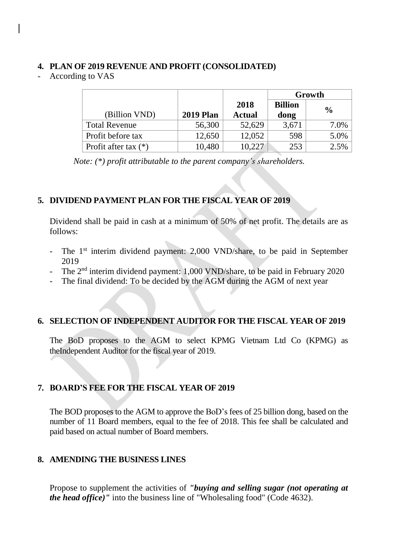#### **4. PLAN OF 2019 REVENUE AND PROFIT (CONSOLIDATED)**

- According to VAS

|                        |                  |               | Growth         |               |
|------------------------|------------------|---------------|----------------|---------------|
|                        |                  | 2018          | <b>Billion</b> | $\frac{0}{0}$ |
| (Billion VND)          | <b>2019 Plan</b> | <b>Actual</b> | dong           |               |
| <b>Total Revenue</b>   | 56,300           | 52,629        | 3,671          | 7.0%          |
| Profit before tax      | 12,650           | 12,052        | 598            | 5.0%          |
| Profit after tax $(*)$ | 10,480           | 10,227        | 253            | 2.5%          |

*Note: (\*) profit attributable to the parent company's shareholders.*

#### **5. DIVIDEND PAYMENT PLAN FOR THE FISCAL YEAR OF 2019**

Dividend shall be paid in cash at a minimum of 50% of net profit. The details are as follows:

- The 1<sup>st</sup> interim dividend payment: 2,000 VND/share, to be paid in September 2019
- The 2<sup>nd</sup> interim dividend payment: 1,000 VND/share, to be paid in February 2020
- The final dividend: To be decided by the AGM during the AGM of next year

#### **6. SELECTION OF INDEPENDENT AUDITOR FOR THE FISCAL YEAR OF 2019**

The BoD proposes to the AGM to select KPMG Vietnam Ltd Co (KPMG) as theIndependent Auditor for the fiscal year of 2019.

#### **7. BOARD'S FEE FOR THE FISCAL YEAR OF 2019**

The BOD proposes to the AGM to approve the BoD's fees of 25 billion dong, based on the number of 11 Board members, equal to the fee of 2018. This fee shall be calculated and paid based on actual number of Board members.

#### **8. AMENDING THE BUSINESS LINES**

Propose to supplement the activities of *"buying and selling sugar (not operating at the head office)"* into the business line of "Wholesaling food" (Code 4632).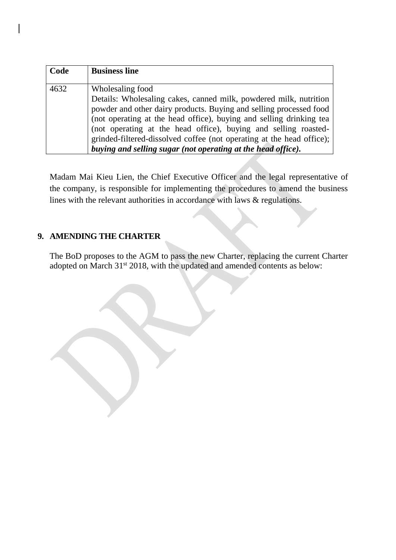| Code | <b>Business line</b>                                                                                                                                                                                                                                                                                                                                                           |
|------|--------------------------------------------------------------------------------------------------------------------------------------------------------------------------------------------------------------------------------------------------------------------------------------------------------------------------------------------------------------------------------|
| 4632 | Wholesaling food<br>Details: Wholesaling cakes, canned milk, powdered milk, nutrition<br>powder and other dairy products. Buying and selling processed food<br>(not operating at the head office), buying and selling drinking tea<br>(not operating at the head office), buying and selling roasted-<br>grinded-filtered-dissolved coffee (not operating at the head office); |
|      | buying and selling sugar (not operating at the head office).                                                                                                                                                                                                                                                                                                                   |

Madam Mai Kieu Lien, the Chief Executive Officer and the legal representative of the company, is responsible for implementing the procedures to amend the business lines with the relevant authorities in accordance with laws & regulations.

### **9. AMENDING THE CHARTER**

The BoD proposes to the AGM to pass the new Charter, replacing the current Charter adopted on March 31<sup>st</sup> 2018, with the updated and amended contents as below: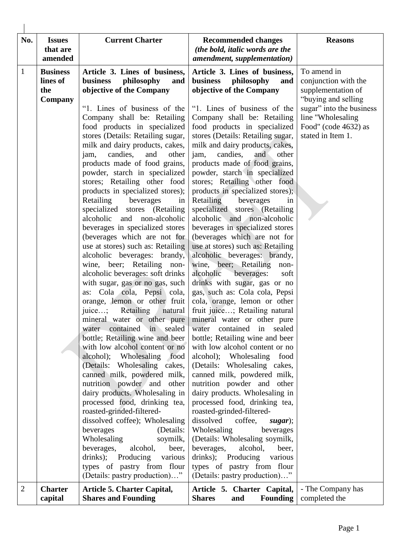| No.          | <b>Issues</b><br>that are<br>amended          | <b>Current Charter</b>                                                                                                                                                                                                                                                                                                                                                                                                                                                                                                                                                                                                                                                                                                                                                                                                                                                                                                                                                                                                                                                 | <b>Recommended changes</b><br>(the bold, italic words are the<br>amendment, supplementation)                                                                                                                                                                                                                                                                                                                                                                                                                                                                                                                                                                                                                                                                                                                                                                                                                                                                                                                    | <b>Reasons</b>                                                                                                                                                                 |
|--------------|-----------------------------------------------|------------------------------------------------------------------------------------------------------------------------------------------------------------------------------------------------------------------------------------------------------------------------------------------------------------------------------------------------------------------------------------------------------------------------------------------------------------------------------------------------------------------------------------------------------------------------------------------------------------------------------------------------------------------------------------------------------------------------------------------------------------------------------------------------------------------------------------------------------------------------------------------------------------------------------------------------------------------------------------------------------------------------------------------------------------------------|-----------------------------------------------------------------------------------------------------------------------------------------------------------------------------------------------------------------------------------------------------------------------------------------------------------------------------------------------------------------------------------------------------------------------------------------------------------------------------------------------------------------------------------------------------------------------------------------------------------------------------------------------------------------------------------------------------------------------------------------------------------------------------------------------------------------------------------------------------------------------------------------------------------------------------------------------------------------------------------------------------------------|--------------------------------------------------------------------------------------------------------------------------------------------------------------------------------|
| $\mathbf{1}$ | <b>Business</b><br>lines of<br>the<br>Company | Article 3. Lines of business,<br>business<br>philosophy<br>and<br>objective of the Company<br>"1. Lines of business of the<br>Company shall be: Retailing<br>food products in specialized<br>stores (Details: Retailing sugar,<br>milk and dairy products, cakes,<br>candies,<br>and<br>jam,<br>other<br>products made of food grains,<br>powder, starch in specialized                                                                                                                                                                                                                                                                                                                                                                                                                                                                                                                                                                                                                                                                                                | Article 3. Lines of business,<br>business<br>philosophy<br>and<br>objective of the Company<br>"1. Lines of business of the<br>Company shall be: Retailing<br>food products in specialized<br>stores (Details: Retailing sugar,<br>milk and dairy products, cakes,<br>candies,<br>jam,<br>and<br>other<br>products made of food grains,<br>powder, starch in specialized                                                                                                                                                                                                                                                                                                                                                                                                                                                                                                                                                                                                                                         | To amend in<br>conjunction with the<br>supplementation of<br>"buying and selling<br>sugar" into the business<br>line "Wholesaling<br>Food" (code 4632) as<br>stated in Item 1. |
|              |                                               | stores; Retailing other food<br>products in specialized stores);<br>Retailing beverages<br>in<br>specialized stores (Retailing<br>alcoholic<br>and<br>non-alcoholic<br>beverages in specialized stores<br>(beverages which are not for<br>use at stores) such as: Retailing<br>alcoholic beverages: brandy,<br>wine, beer; Retailing non-<br>alcoholic beverages: soft drinks<br>with sugar, gas or no gas, such<br>as: Cola cola, Pepsi cola,<br>orange, lemon or other fruit<br>Retailing<br>natural<br>juice;<br>mineral water or other pure mineral water or other pure<br>water contained in sealed<br>bottle; Retailing wine and beer<br>with low alcohol content or no<br>alcohol); Wholesaling food<br>(Details: Wholesaling cakes,<br>canned milk, powdered milk,<br>nutrition powder and other<br>dairy products. Wholesaling in<br>processed food, drinking tea,<br>roasted-grinded-filtered-<br>dissolved coffee); Wholesaling<br>beverages<br>(Details:<br>Wholesaling<br>soymilk,<br>alcohol,<br>beverages,<br>beer,<br>drinks);<br>Producing<br>various | stores; Retailing other food<br>products in specialized stores);<br>Retailing beverages<br>in<br>specialized stores (Retailing<br>alcoholic and non-alcoholic<br>beverages in specialized stores<br>(beverages which are not for<br>use at stores) such as: Retailing<br>alcoholic beverages: brandy,<br>wine, beer; Retailing non-<br>alcoholic<br>beverages:<br>soft<br>drinks with sugar, gas or no<br>gas, such as: Cola cola, Pepsi<br>cola, orange, lemon or other<br>fruit juice; Retailing natural<br>water contained in<br>sealed<br>bottle; Retailing wine and beer<br>with low alcohol content or no<br>alcohol); Wholesaling food<br>(Details: Wholesaling cakes,<br>canned milk, powdered milk,<br>nutrition powder and other<br>dairy products. Wholesaling in<br>processed food, drinking tea,<br>roasted-grinded-filtered-<br>dissolved<br>coffee,<br>sugar);<br>Wholesaling<br>beverages<br>(Details: Wholesaling soymilk,<br>beverages,<br>alcohol,<br>beer,<br>drinks); Producing<br>various |                                                                                                                                                                                |
| 2            | <b>Charter</b>                                | types of pastry from flour<br>(Details: pastry production)"<br><b>Article 5. Charter Capital,</b>                                                                                                                                                                                                                                                                                                                                                                                                                                                                                                                                                                                                                                                                                                                                                                                                                                                                                                                                                                      | types of pastry from flour<br>(Details: pastry production)"<br>Article 5. Charter Capital,                                                                                                                                                                                                                                                                                                                                                                                                                                                                                                                                                                                                                                                                                                                                                                                                                                                                                                                      | - The Company has                                                                                                                                                              |
|              | capital                                       | <b>Shares and Founding</b>                                                                                                                                                                                                                                                                                                                                                                                                                                                                                                                                                                                                                                                                                                                                                                                                                                                                                                                                                                                                                                             | <b>Founding</b><br><b>Shares</b><br>and                                                                                                                                                                                                                                                                                                                                                                                                                                                                                                                                                                                                                                                                                                                                                                                                                                                                                                                                                                         | completed the                                                                                                                                                                  |